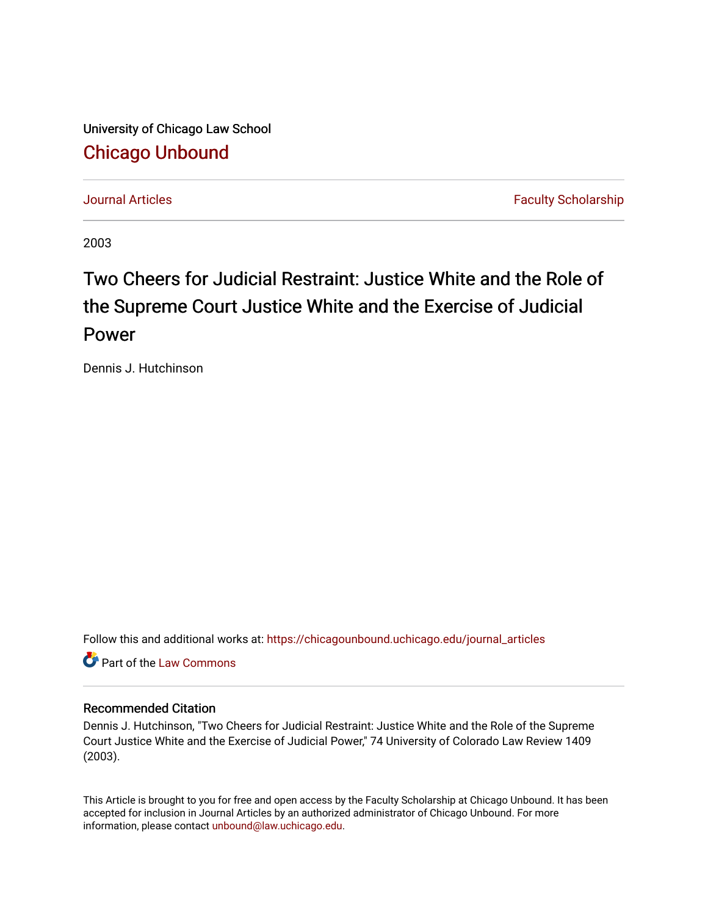University of Chicago Law School [Chicago Unbound](https://chicagounbound.uchicago.edu/)

[Journal Articles](https://chicagounbound.uchicago.edu/journal_articles) **Faculty Scholarship Journal Articles** 

2003

# Two Cheers for Judicial Restraint: Justice White and the Role of the Supreme Court Justice White and the Exercise of Judicial Power

Dennis J. Hutchinson

Follow this and additional works at: [https://chicagounbound.uchicago.edu/journal\\_articles](https://chicagounbound.uchicago.edu/journal_articles?utm_source=chicagounbound.uchicago.edu%2Fjournal_articles%2F1533&utm_medium=PDF&utm_campaign=PDFCoverPages) 

**C** Part of the [Law Commons](http://network.bepress.com/hgg/discipline/578?utm_source=chicagounbound.uchicago.edu%2Fjournal_articles%2F1533&utm_medium=PDF&utm_campaign=PDFCoverPages)

## Recommended Citation

Dennis J. Hutchinson, "Two Cheers for Judicial Restraint: Justice White and the Role of the Supreme Court Justice White and the Exercise of Judicial Power," 74 University of Colorado Law Review 1409 (2003).

This Article is brought to you for free and open access by the Faculty Scholarship at Chicago Unbound. It has been accepted for inclusion in Journal Articles by an authorized administrator of Chicago Unbound. For more information, please contact [unbound@law.uchicago.edu](mailto:unbound@law.uchicago.edu).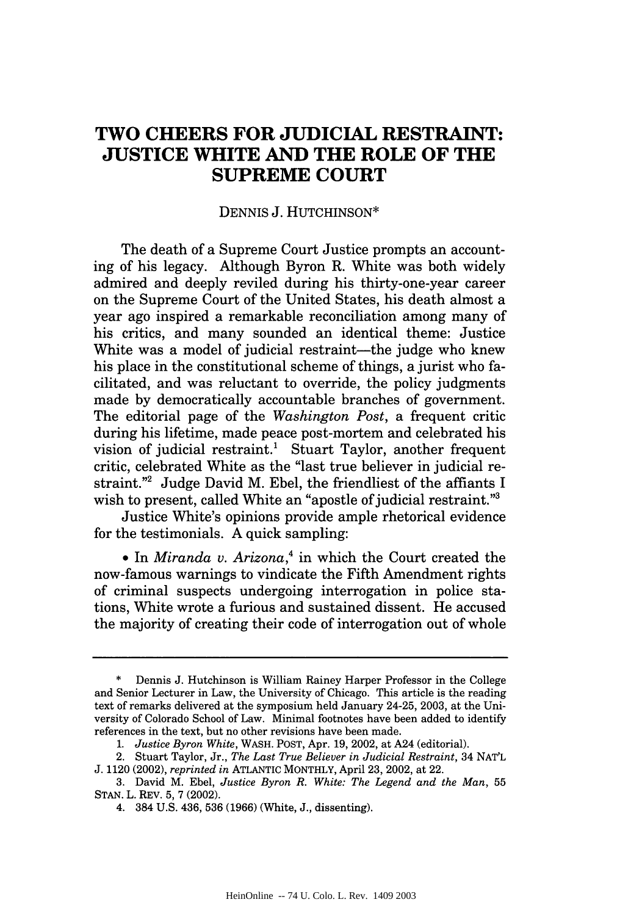# **TWO CHEERS FOR JUDICIAL RESTRAINT: JUSTICE WHITE AND THE ROLE OF THE SUPREME COURT**

#### DENNIS J. HUTCHINSON\*

The death of a Supreme Court Justice prompts an accounting of his legacy. Although Byron R. White was both widely admired and deeply reviled during his thirty-one-year career on the Supreme Court of the United States, his death almost a year ago inspired a remarkable reconciliation among many of his critics, and many sounded an identical theme: Justice White was a model of judicial restraint—the judge who knew his place in the constitutional scheme of things, a jurist who facilitated, and was reluctant to override, the policy judgments made by democratically accountable branches of government. The editorial page of the *Washington Post,* a frequent critic during his lifetime, made peace post-mortem and celebrated his vision of judicial restraint.' Stuart Taylor, another frequent critic, celebrated White as the "last true believer in judicial restraint."2 Judge David M. Ebel, the friendliest of the affiants I wish to present, called White an "apostle of judicial restraint."<sup>3</sup>

Justice White's opinions provide ample rhetorical evidence for the testimonials. A quick sampling:

**e** In *Miranda v. Arizona,'* in which the Court created the now-famous warnings to vindicate the Fifth Amendment rights of criminal suspects undergoing interrogation in police stations, White wrote a furious and sustained dissent. He accused the majority of creating their code of interrogation out of whole

**<sup>\*</sup>** Dennis J. Hutchinson is William Rainey Harper Professor in the College and Senior Lecturer in Law, the University of Chicago. This article is the reading text of remarks delivered at the symposium held January 24-25, 2003, at the University of Colorado School of Law. Minimal footnotes have been added to identify references in the text, but no other revisions have been made.

*<sup>1.</sup> Justice Byron White,* WASH. POST, Apr. 19, 2002, at A24 (editorial).

<sup>2.</sup> Stuart Taylor, Jr., *The Last True Believer in Judicial Restraint,* 34 NAT'L J. 1120 (2002), *reprinted in* ATLANTIC MONTHLY, April 23, 2002, at 22.

<sup>3.</sup> David M. Ebel, *Justice Byron R. White: The Legend and the Man,* <sup>55</sup> STAN. L. REV. 5, 7 (2002).

<sup>4. 384</sup> U.S. 436, 536 (1966) (White, J., dissenting).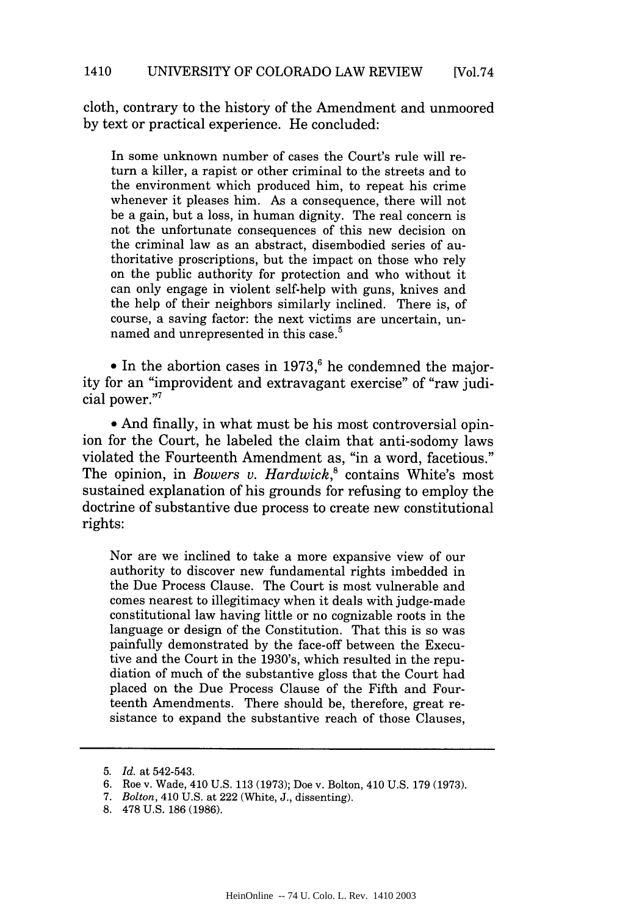cloth, contrary to the history of the Amendment and unmoored by text or practical experience. He concluded:

In some unknown number of cases the Court's rule will return a killer, a rapist or other criminal to the streets and to the environment which produced him, to repeat his crime whenever it pleases him. As a consequence, there will not be a gain, but a loss, in human dignity. The real concern is not the unfortunate consequences of this new decision on the criminal law as an abstract, disembodied series of authoritative proscriptions, but the impact on those who rely on the public authority for protection and who without it can only engage in violent self-help with guns, knives and the help of their neighbors similarly inclined. There is, of course, a saving factor: the next victims are uncertain, unnamed and unrepresented in this case.<sup>5</sup>

 $\bullet$  In the abortion cases in 1973,<sup>6</sup> he condemned the majority for an "improvident and extravagant exercise" of "raw judicial power."7

• And finally, in what must be his most controversial opinion for the Court, he labeled the claim that anti-sodomy laws violated the Fourteenth Amendment as, "in a word, facetious." The opinion, in *Bowers v. Hardwick*,<sup>8</sup> contains White's most sustained explanation of his grounds for refusing to employ the doctrine of substantive due process to create new constitutional rights:

Nor are we inclined to take a more expansive view of our authority to discover new fundamental rights imbedded in the Due Process Clause. The Court is most vulnerable and comes nearest to illegitimacy when it deals with judge-made constitutional law having little or no cognizable roots in the language or design of the Constitution. That this is so was painfully demonstrated by the face-off between the Executive and the Court in the 1930's, which resulted in the repudiation of much of the substantive gloss that the Court had placed on the Due Process Clause of the Fifth and Fourteenth Amendments. There should be, therefore, great resistance to expand the substantive reach of those Clauses,

<sup>5.</sup> *Id.* at 542-543.

<sup>6.</sup> Roe v. Wade, 410 U.S. 113 (1973); Doe v. Bolton, 410 U.S. 179 (1973).

<sup>7.</sup> *Bolton,* 410 U.S. at 222 (White, J., dissenting).

<sup>8. 478</sup> U.S. 186 (1986).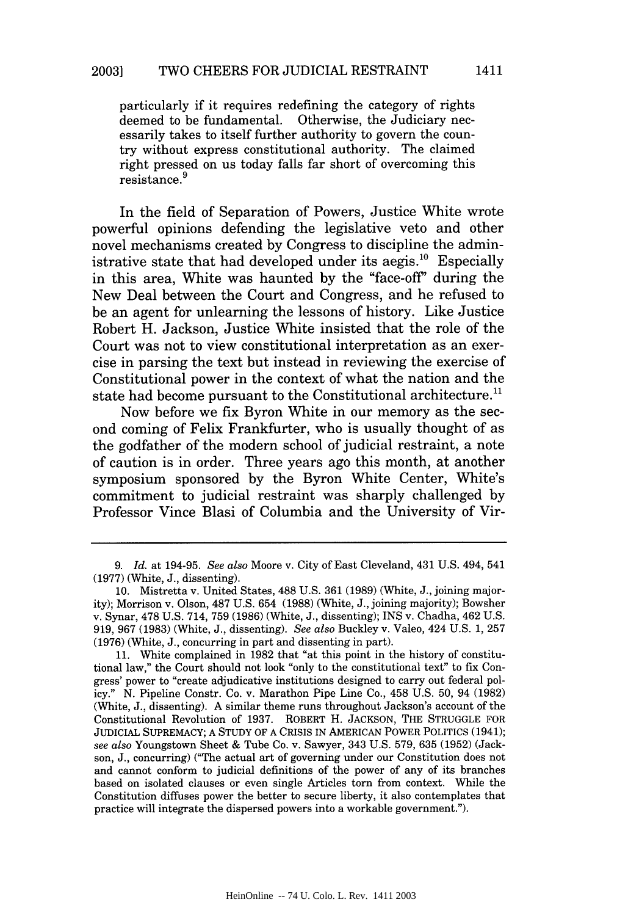particularly if it requires redefining the category of rights deemed to be fundamental. Otherwise, the Judiciary necessarily takes to itself further authority to govern the country without express constitutional authority. The claimed right pressed on us today falls far short of overcoming this resistance. <sup>9</sup>

In the field of Separation of Powers, Justice White wrote powerful opinions defending the legislative veto and other novel mechanisms created by Congress to discipline the administrative state that had developed under its aegis.<sup>10</sup> Especially in this area, White was haunted by the "face-off' during the New Deal between the Court and Congress, and he refused to be an agent for unlearning the lessons of history. Like Justice Robert H. Jackson, Justice White insisted that the role of the Court was not to view constitutional interpretation as an exercise in parsing the text but instead in reviewing the exercise of Constitutional power in the context of what the nation and the state had become pursuant to the Constitutional architecture.<sup>11</sup>

Now before we fix Byron White in our memory as the second coming of Felix Frankfurter, who is usually thought of as the godfather of the modern school of judicial restraint, a note of caution is in order. Three years ago this month, at another symposium sponsored by the Byron White Center, White's commitment to judicial restraint was sharply challenged by Professor Vince Blasi of Columbia and the University of Vir-

<sup>9.</sup> *Id.* at 194-95. *See also* Moore v. City of East Cleveland, 431 U.S. 494, 541 (1977) (White, J., dissenting).

<sup>10.</sup> Mistretta v. United States, 488 U.S. 361 (1989) (White, J., joining majority); Morrison v. Olson, 487 U.S. 654 (1988) (White, J., joining majority); Bowsher v. Synar, 478 U.S. 714, 759 (1986) (White, J., dissenting); INS v. Chadha, 462 U.S. 919, **967** (1983) (White, J., dissenting). *See also* Buckley v. Valeo, 424 U.S. 1, 257 (1976) (White, J., concurring in part and dissenting in part).

<sup>11.</sup> White complained in 1982 that "at this point in the history of constitutional law," the Court should not look "only to the constitutional text" to fix Congress' power to "create adjudicative institutions designed to carry out federal policy." N. Pipeline Constr. Co. v. Marathon Pipe Line Co., 458 U.S. 50, 94 (1982) (White, J., dissenting). A similar theme runs throughout Jackson's account of the Constitutional Revolution of 1937. ROBERT H. JACKSON, THE STRUGGLE FOR JUDICIAL SUPREMACY; A STUDY OF A CRISIS IN AMERICAN POWER POLITICS (1941); *see also* Youngstown Sheet & Tube Co. v. Sawyer, 343 U.S. 579, 635 (1952) (Jackson, J., concurring) ("The actual art of governing under our Constitution does not and cannot conform to judicial definitions of the power of any of its branches based on isolated clauses or even single Articles torn from context. While the Constitution diffuses power the better to secure liberty, it also contemplates that practice will integrate the dispersed powers into a workable government.").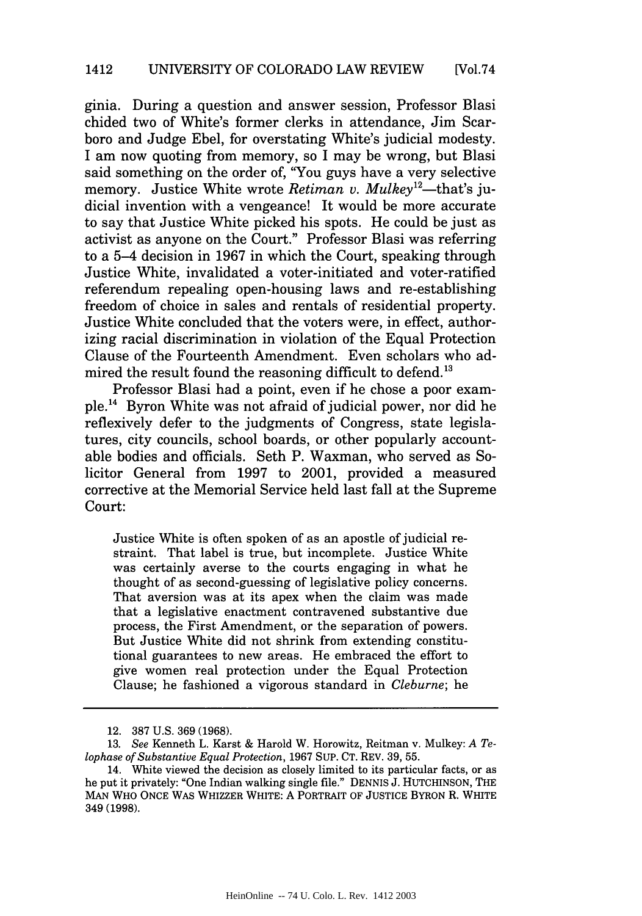ginia. During a question and answer session, Professor Blasi chided two of White's former clerks in attendance, Jim Scarboro and Judge Ebel, for overstating White's judicial modesty. I am now quoting from memory, so I may be wrong, but Blasi said something on the order of, "You guys have a very selective memory. Justice White wrote *Retiman v. Mulkey*<sup>12</sup>—that's judicial invention with a vengeance! It would be more accurate to say that Justice White picked his spots. He could be just as activist as anyone on the Court." Professor Blasi was referring to a 5-4 decision in 1967 in which the Court, speaking through Justice White, invalidated a voter-initiated and voter-ratified referendum repealing open-housing laws and re-establishing freedom of choice in sales and rentals of residential property. Justice white concluded that the voters were, in effect, authorizing racial discrimination in violation of the Equal Protection Clause of the Fourteenth Amendment. Even scholars who admired the result found the reasoning difficult to defend.<sup>13</sup>

Professor Blasi had a point, even if he chose a poor example.<sup>14</sup> Byron White was not afraid of judicial power, nor did he reflexively defer to the judgments of Congress, state legislatures, city councils, school boards, or other popularly accountable bodies and officials. Seth P. Waxman, who served as Solicitor General from 1997 to 2001, provided a measured corrective at the Memorial Service held last fall at the Supreme Court:

Justice White is often spoken of as an apostle of judicial restraint. That label is true, but incomplete. Justice White was certainly averse to the courts engaging in what he thought of as second-guessing of legislative policy concerns. That aversion was at its apex when the claim was made that a legislative enactment contravened substantive due process, the First Amendment, or the separation of powers. But Justice White did not shrink from extending constitutional guarantees to new areas. He embraced the effort to give women real protection under the Equal Protection Clause; he fashioned a vigorous standard in *Cleburne;* he

<sup>12. 387</sup> U.S. 369 (1968).

<sup>13.</sup> *See* Kenneth L. Karst & Harold W. Horowitz, Reitman v. Mulkey: *A Telophase of Substantive Equal Protection,* 1967 SUP. CT. REV. 39, 55.

<sup>14.</sup> White viewed the decision as closely limited to its particular facts, or as he put it privately: "One Indian walking single file." DENNIS J. HUTCHINSON, THE **MAN** WHO **ONCE** WAS WHIZZER WHITE: A PORTRAIT OF JUSTICE BYRON R. WHITE **349 (1998).**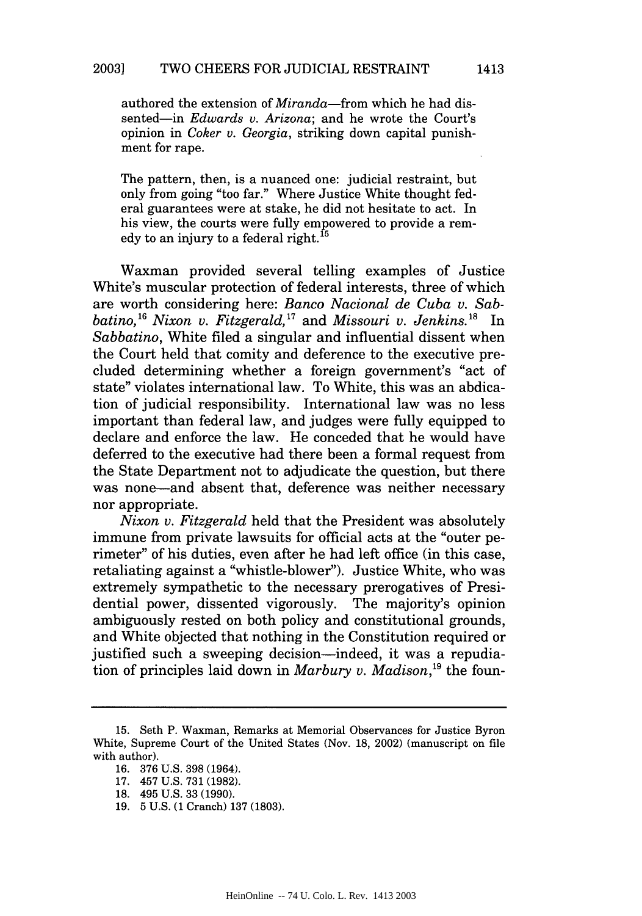authored the extension of *Miranda-from* which he had dissented-in *Edwards v. Arizona;* and he wrote the Court's opinion in *Coker v. Georgia,* striking down capital punishment for rape.

The pattern, then, is a nuanced one: judicial restraint, but only from going "too far." Where Justice White thought federal guarantees were at stake, he did not hesitate to act. In his view, the courts were fully empowered to provide a remms view, the courts were runy emp<br>edy to an injury to a federal right.<sup>15</sup>

Waxman provided several telling examples of Justice White's muscular protection of federal interests, three of which are worth considering here: *Banco Nacional de Cuba v. Sabbatino*,<sup>16</sup> Nixon v. Fitzgerald,<sup>17</sup> and Missouri v. Jenkins.<sup>18</sup> In *Sabbatino,* White filed a singular and influential dissent when the Court held that comity and deference to the executive precluded determining whether a foreign government's "act of state" violates international law. To White, this was an abdication of judicial responsibility. International law was no less important than federal law, and judges were fully equipped to declare and enforce the law. He conceded that he would have deferred to the executive had there been a formal request from the State Department not to adjudicate the question, but there was none-and absent that, deference was neither necessary nor appropriate.

*Nixon v. Fitzgerald* held that the President was absolutely immune from private lawsuits for official acts at the "outer perimeter" of his duties, even after he had left office (in this case, retaliating against a "whistle-blower"). Justice White, who was extremely sympathetic to the necessary prerogatives of Presidential power, dissented vigorously. The majority's opinion ambiguously rested on both policy and constitutional grounds, and White objected that nothing in the Constitution required or justified such a sweeping decision-indeed, it was a repudiation of principles laid down in *Marbury v. Madison*,<sup>19</sup> the foun-

<sup>15.</sup> Seth P. Waxman, Remarks at Memorial Observances for Justice Byron White, Supreme Court of the United States (Nov. 18, 2002) (manuscript on file with author).

<sup>16. 376</sup> U.S. 398 (1964).

<sup>17. 457</sup> U.S. 731 (1982).

<sup>18. 495</sup> U.S. 33 (1990).

<sup>19. 5</sup> U.S. (1 Cranch) 137 (1803).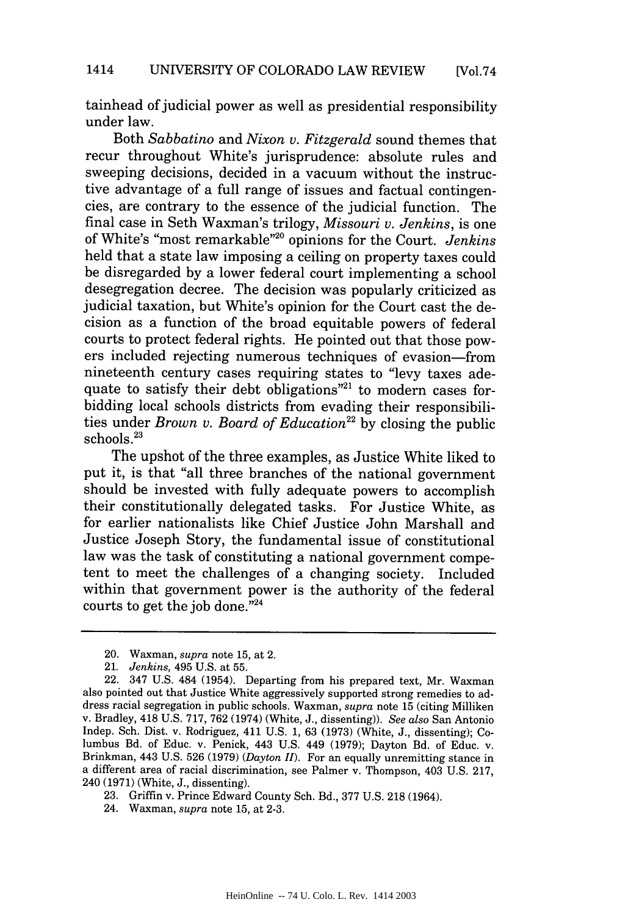tainhead of judicial power as well as presidential responsibility under law.

Both *Sabbatino* and *Nixon v. Fitzgerald* sound themes that recur throughout White's jurisprudence: absolute rules and sweeping decisions, decided in a vacuum without the instructive advantage of a full range of issues and factual contingencies, are contrary to the essence of the judicial function. The final case in Seth Waxman's trilogy, *Missouri v. Jenkins,* is one of White's "most remarkable"<sup>20</sup> opinions for the Court. *Jenkins* held that a state law imposing a ceiling on property taxes could be disregarded by a lower federal court implementing a school desegregation decree. The decision was popularly criticized as judicial taxation, but White's opinion for the Court cast the decision as a function of the broad equitable powers of federal courts to protect federal rights. He pointed out that those powers included rejecting numerous techniques of evasion-from nineteenth century cases requiring states to "levy taxes adequate to satisfy their debt obligations"<sup>21</sup> to modern cases forbidding local schools districts from evading their responsibilities under *Brown v. Board of Education*<sup>22</sup> by closing the public schools.<sup>23</sup>

The upshot of the three examples, as Justice White liked to put it, is that "all three branches of the national government should be invested with fully adequate powers to accomplish their constitutionally delegated tasks. For Justice White, as for earlier nationalists like Chief Justice John Marshall and Justice Joseph Story, the fundamental issue of constitutional law was the task of constituting a national government competent to meet the challenges of a changing society. Included within that government power is the authority of the federal courts to get the job done."24

<sup>20.</sup> Waxman, *supra* note 15, at 2.

<sup>21.</sup> *Jenkins,* 495 U.S. at 55.

<sup>22. 347</sup> U.S. 484 (1954). Departing from his prepared text, Mr. Waxman also pointed out that Justice White aggressively supported strong remedies to address racial segregation in public schools. Waxman, *supra* note 15 (citing Milliken v. Bradley, 418 U.S. 717, 762 (1974) (White, J., dissenting)). *See also* San Antonio Indep. Sch. Dist. v. Rodriguez, 411 U.S. 1, 63 (1973) (White, J., dissenting); Columbus Bd. of Educ. v. Penick, 443 U.S. 449 (1979); Dayton Bd. of Educ. v. Brinkman, 443 U.S. 526 (1979) *(Dayton II).* For an equally unremitting stance in a different area of racial discrimination, see Palmer v. Thompson, 403 U.S. 217, 240 (1971) (White, J., dissenting).

<sup>23.</sup> Griffin v. Prince Edward County Sch. Bd., 377 U.S. 218 (1964).

<sup>24.</sup> Waxman, *supra* note 15, at 2-3.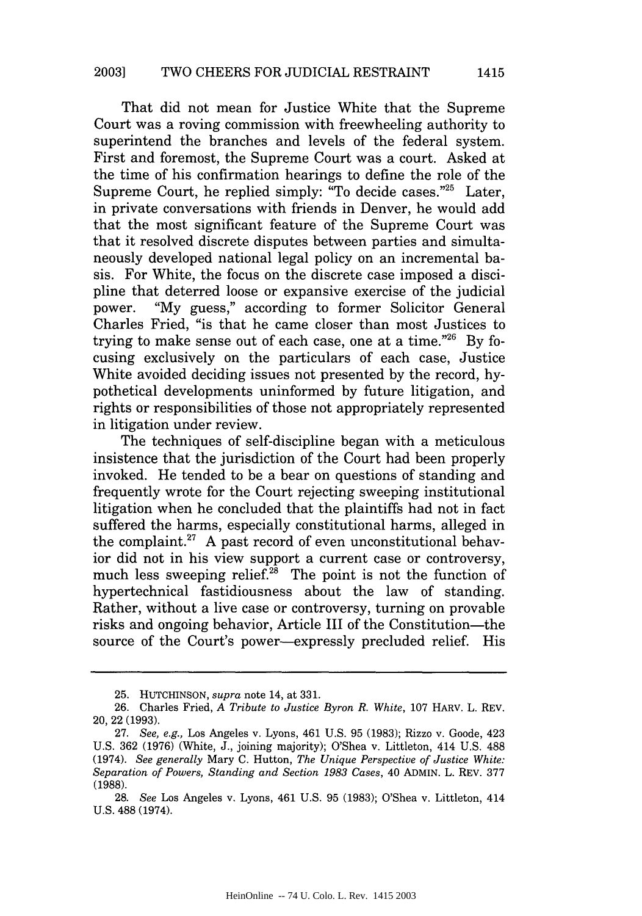That did not mean for Justice White that the Supreme Court was a roving commission with freewheeling authority to superintend the branches and levels of the federal system. First and foremost, the Supreme Court was a court. Asked at the time of his confirmation hearings to define the role of the Supreme Court, he replied simply: "To decide cases."<sup>25</sup> Later. in private conversations with friends in Denver, he would add that the most significant feature of the Supreme Court was that it resolved discrete disputes between parties and simultaneously developed national legal policy on an incremental basis. For White, the focus on the discrete case imposed a discipline that deterred loose or expansive exercise of the judicial power. "My guess," according to former Solicitor General Charles Fried, "is that he came closer than most Justices to trying to make sense out of each case, one at a time."26 By focusing exclusively on the particulars of each case, Justice White avoided deciding issues not presented by the record, hypothetical developments uninformed by future litigation, and rights or responsibilities of those not appropriately represented in litigation under review.

The techniques of self-discipline began with a meticulous insistence that the jurisdiction of the Court had been properly invoked. He tended to be a bear on questions of standing and frequently wrote for the Court rejecting sweeping institutional litigation when he concluded that the plaintiffs had not in fact suffered the harms, especially constitutional harms, alleged in the complaint.<sup>27</sup> A past record of even unconstitutional behavior did not in his view support a current case or controversy, much less sweeping relief.<sup>28</sup> The point is not the function of hypertechnical fastidiousness about the law of standing. Rather, without a live case or controversy, turning on provable risks and ongoing behavior, Article III of the Constitution-the source of the Court's power-expressly precluded relief. His

<sup>25.</sup> HUTCHINSON, *supra* note 14, at 331.

<sup>26.</sup> Charles Fried, *A Tribute to Justice Byron R. White,* 107 HARV. L. REV. 20, 22 (1993).

<sup>27.</sup> *See, e.g.,* Los Angeles v. Lyons, 461 U.S. 95 (1983); Rizzo v. Goode, 423 U.S. 362 (1976) (White, J., joining majority); O'Shea v. Littleton, 414 U.S. 488 (1974). *See generally* Mary C. Hutton, *The Unique Perspective of Justice White: Separation of Powers, Standing and Section 1983 Cases,* 40 ADMIN. L. REV. 377 (1988).

<sup>28.</sup> *See* Los Angeles v. Lyons, 461 U.S. 95 (1983); O'Shea v. Littleton, 414 U.S. 488 (1974).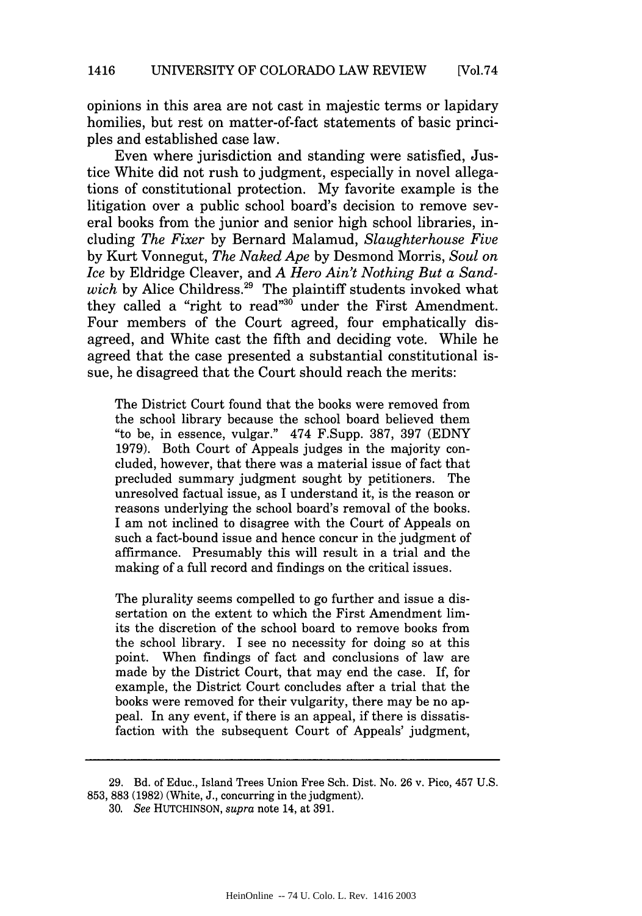opinions in this area are not cast in majestic terms or lapidary homilies, but rest on matter-of-fact statements of basic principles and established case law.

Even where jurisdiction and standing were satisfied, Justice White did not rush to judgment, especially in novel allegations of constitutional protection. My favorite example is the litigation over a public school board's decision to remove several books from the junior and senior high school libraries, including *The Fixer* by Bernard Malamud, *Slaughterhouse Five* by Kurt Vonnegut, *The Naked Ape* by Desmond Morris, *Soul on Ice* by Eldridge Cleaver, and *A Hero Ain't Nothing But a Sand*wich by Alice Childress.<sup>29</sup> The plaintiff students invoked what they called a "right to read"<sup>30</sup> under the First Amendment. Four members of the Court agreed, four emphatically disagreed, and White cast the fifth and deciding vote. While he agreed that the case presented a substantial constitutional issue, he disagreed that the Court should reach the merits:

The District Court found that the books were removed from the school library because the school board believed them "to be, in essence, vulgar." 474 F.Supp. 387, 397 (EDNY 1979). Both Court of Appeals judges in the majority concluded, however, that there was a material issue of fact that precluded summary judgment sought by petitioners. The unresolved factual issue, as I understand it, is the reason or reasons underlying the school board's removal of the books. I am not inclined to disagree with the Court of Appeals on such a fact-bound issue and hence concur in the judgment of affirmance. Presumably this will result in a trial and the making of a full record and findings on the critical issues.

The plurality seems compelled to go further and issue a dissertation on the extent to which the First Amendment limits the discretion of the school board to remove books from the school library. I see no necessity for doing so at this point. When findings of fact and conclusions of law are made by the District Court, that may end the case. If, for example, the District Court concludes after a trial that the books were removed for their vulgarity, there may be no appeal. In any event, if there is an appeal, if there is dissatisfaction with the subsequent Court of Appeals' judgment,

<sup>29.</sup> Bd. of Educ., Island Trees Union Free Sch. Dist. No. 26 v. Pico, 457 U.S. 853, 883 (1982) (White, J., concurring in the judgment).

<sup>30.</sup> *See* HUTCHINSON, *supra* note 14, at 391.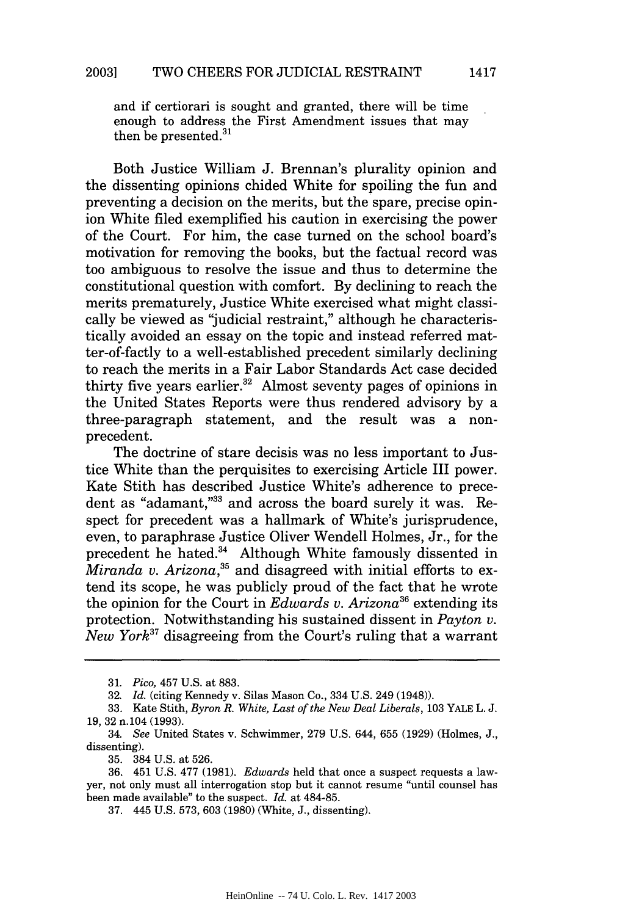and if certiorari is sought and granted, there will be time enough to address the First Amendment issues that may then be presented.<sup>31</sup>

Both Justice William J. Brennan's plurality opinion and the dissenting opinions chided White for spoiling the fun and preventing a decision on the merits, but the spare, precise opinion White filed exemplified his caution in exercising the power of the Court. For him, the case turned on the school board's motivation for removing the books, but the factual record was too ambiguous to resolve the issue and thus to determine the constitutional question with comfort. By declining to reach the merits prematurely, Justice White exercised what might classically be viewed as "judicial restraint," although he characteristically avoided an essay on the topic and instead referred matter-of-factly to a well-established precedent similarly declining to reach the merits in a Fair Labor Standards Act case decided thirty five years earlier. $32$  Almost seventy pages of opinions in the United States Reports were thus rendered advisory by a three-paragraph statement, and the result was a nonprecedent.

The doctrine of stare decisis was no less important to Justice White than the perquisites to exercising Article III power. Kate Stith has described Justice white's adherence to precedent as "adamant,"33 and across the board surely it was. Respect for precedent was a hallmark of White's jurisprudence, even, to paraphrase Justice Oliver Wendell Holmes, Jr., for the precedent he hated.<sup>34</sup> Although White famously dissented in *Miranda v. Arizona*<sup>35</sup> and disagreed with initial efforts to extend its scope, he was publicly proud of the fact that he wrote the opinion for the Court in *Edwards v. Arizona36* extending its protection. Notwithstanding his sustained dissent in *Payton v. New York37* disagreeing from the Court's ruling that a warrant

<sup>31.</sup> *Pico,* 457 U.S. at 883.

<sup>32.</sup> *Id.* (citing Kennedy v. Silas Mason Co., 334 U.S. 249 (1948)).

<sup>33.</sup> Kate Stith, *Byron R. White, Last of the New Deal Liberals,* 103 YALE L. J. 19, 32 n.104 (1993).

<sup>34.</sup> *See* United States v. Schwimmer, 279 U.S. 644, 655 (1929) (Holmes, J., dissenting).

<sup>35. 384</sup> U.S. at 526.

<sup>36. 451</sup> U.S. 477 (1981). *Edwards* held that once a suspect requests a lawyer, not only must all interrogation stop but it cannot resume "until counsel has been made available" to the suspect. *Id.* at 484-85.

<sup>37. 445</sup> U.S. 573, 603 (1980) (White, J., dissenting).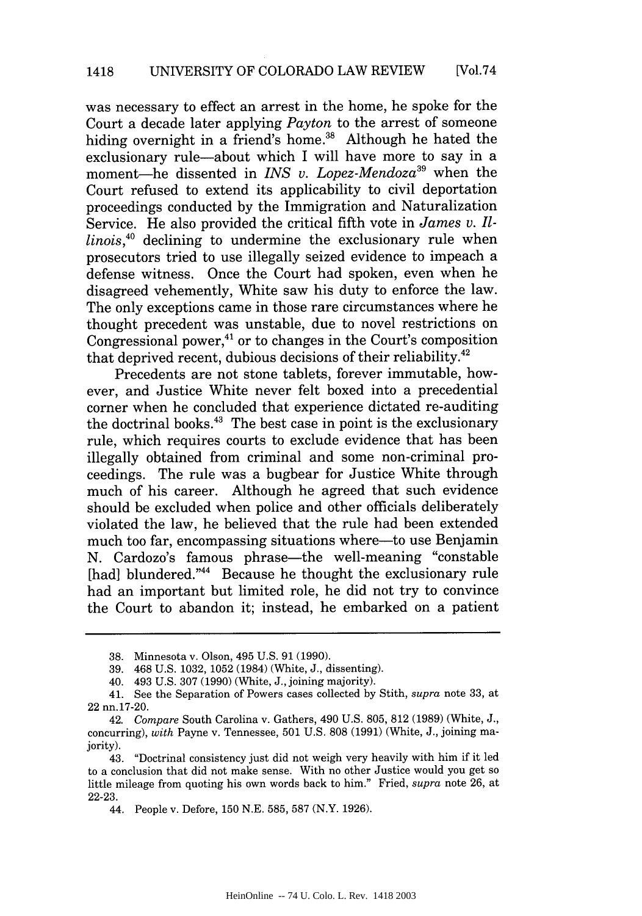was necessary to effect an arrest in the home, he spoke for the Court a decade later applying *Payton* to the arrest of someone hiding overnight in a friend's home.<sup>38</sup> Although he hated the exclusionary rule-about which I will have more to say in a moment-he dissented in *INS v. Lopez-Mendoza39* when the Court refused to extend its applicability to civil deportation proceedings conducted by the Immigration and Naturalization Service. He also provided the critical fifth vote in *James v. Illinois,4°* declining to undermine the exclusionary rule when prosecutors tried to use illegally seized evidence to impeach a defense witness. Once the Court had spoken, even when he disagreed vehemently, White saw his duty to enforce the law. The only exceptions came in those rare circumstances where he thought precedent was unstable, due to novel restrictions on Congressional power, $4$ <sup>1</sup> or to changes in the Court's composition that deprived recent, dubious decisions of their reliability.<sup>42</sup>

Precedents are not stone tablets, forever immutable, however, and Justice White never felt boxed into a precedential corner when he concluded that experience dictated re-auditing the doctrinal books. $43$  The best case in point is the exclusionary rule, which requires courts to exclude evidence that has been illegally obtained from criminal and some non-criminal proceedings. The rule was a bugbear for Justice White through much of his career. Although he agreed that such evidence should be excluded when police and other officials deliberately violated the law, he believed that the rule had been extended much too far, encompassing situations where—to use Benjamin N. Cardozo's famous phrase—the well-meaning "constable [had] blundered."<sup>44</sup> Because he thought the exclusionary rule had an important but limited role, he did not try to convince the Court to abandon it; instead, he embarked on a patient

<sup>38.</sup> Minnesota v. Olson, 495 U.S. 91 (1990).

<sup>39. 468</sup> U.S. 1032, 1052 (1984) (White, J., dissenting).

<sup>40. 493</sup> U.S. 307 (1990) (White, J., joining majority).

<sup>41.</sup> See the Separation of Powers cases collected by Stith, *supra* note 33, at 22 nn.17-20.

<sup>42.</sup> *Compare* South Carolina v. Gathers, 490 U.S. 805, 812 (1989) (White, J., concurring), *with* Payne v. Tennessee, 501 U.S. 808 (1991) (White, J., joining majority).

<sup>43. &</sup>quot;Doctrinal consistency just did not weigh very heavily with him if it led to a conclusion that did not make sense. With no other Justice would you get so little mileage from quoting his own words back to him." Fried, *supra* note 26, at 22-23.

<sup>44.</sup> People v. Defore, 150 N.E. 585, 587 (N.Y. 1926).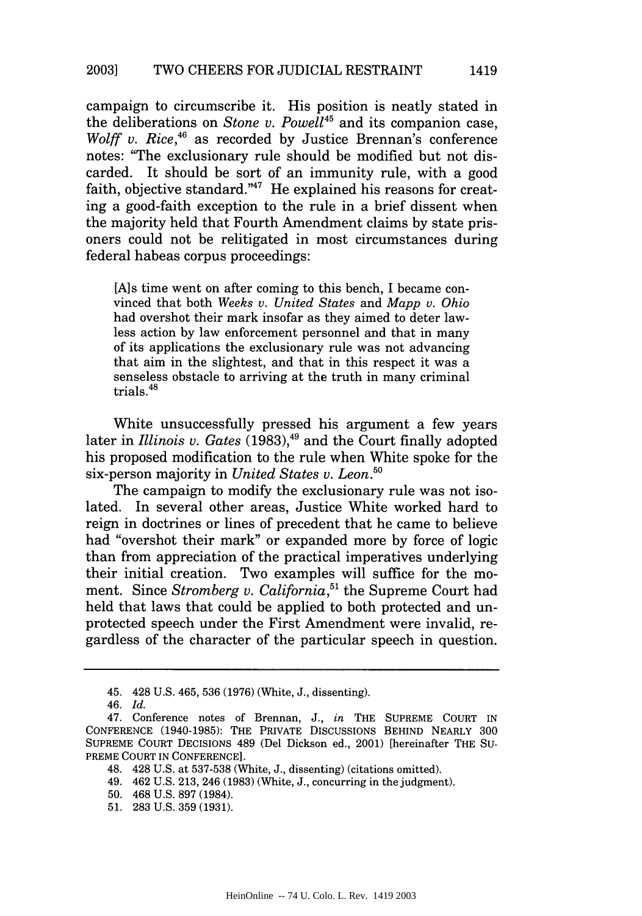campaign to circumscribe it. His position is neatly stated in the deliberations on *Stone v. Powell45* and its companion case, *Wolff v. Rice*,<sup>46</sup> as recorded by Justice Brennan's conference notes: "The exclusionary rule should be modified but not discarded. It should be sort of an immunity rule, with a good faith, objective standard."<sup>47</sup> He explained his reasons for creating a good-faith exception to the rule in a brief dissent when the majority held that Fourth Amendment claims by state prisoners could not be relitigated in most circumstances during federal habeas corpus proceedings:

[A]s time went on after coming to this bench, I became convinced that both *Weeks v. United States* and *Mapp v. Ohio* had overshot their mark insofar as they aimed to deter lawless action by law enforcement personnel and that in many of its applications the exclusionary rule was not advancing that aim in the slightest, and that in this respect it was a senseless obstacle to arriving at the truth in many criminal trials.

White unsuccessfully pressed his argument a few years later in *Illinois v. Gates* (1983),<sup>49</sup> and the Court finally adopted his proposed modification to the rule when White spoke for the six-person majority in *United States v. Leon.*<sup>56</sup>

The campaign to modify the exclusionary rule was not isolated. In several other areas, Justice White worked hard to reign in doctrines or lines of precedent that he came to believe had "overshot their mark" or expanded more by force of logic than from appreciation of the practical imperatives underlying their initial creation. Two examples will suffice for the moment. Since *Stromberg v. California*,<sup>51</sup> the Supreme Court had held that laws that could be applied to both protected and unprotected speech under the First Amendment were invalid, regardless of the character of the particular speech in question.

<sup>45. 428</sup> U.S. 465, 536 (1976) (White, J., dissenting).

<sup>46.</sup> *Id.*

<sup>47.</sup> Conference notes of Brennan, J., *in* THE SUPREME COURT IN CONFERENCE (1940-1985): THE PRIVATE DISCUSSIONS BEHIND NEARLY 300 SUPREME COURT DECISIONS 489 (Del Dickson ed., 2001) [hereinafter THE SU-PREME COURT IN CONFERENCE].

<sup>48. 428</sup> U.S. at 537-538 (White, J., dissenting) (citations omitted).

<sup>49. 462</sup> U.S. 213, 246 (1983) (White, J., concurring in the judgment).

<sup>50. 468</sup> U.S. 897 (1984).

<sup>51. 283</sup> U.S. 359 (1931).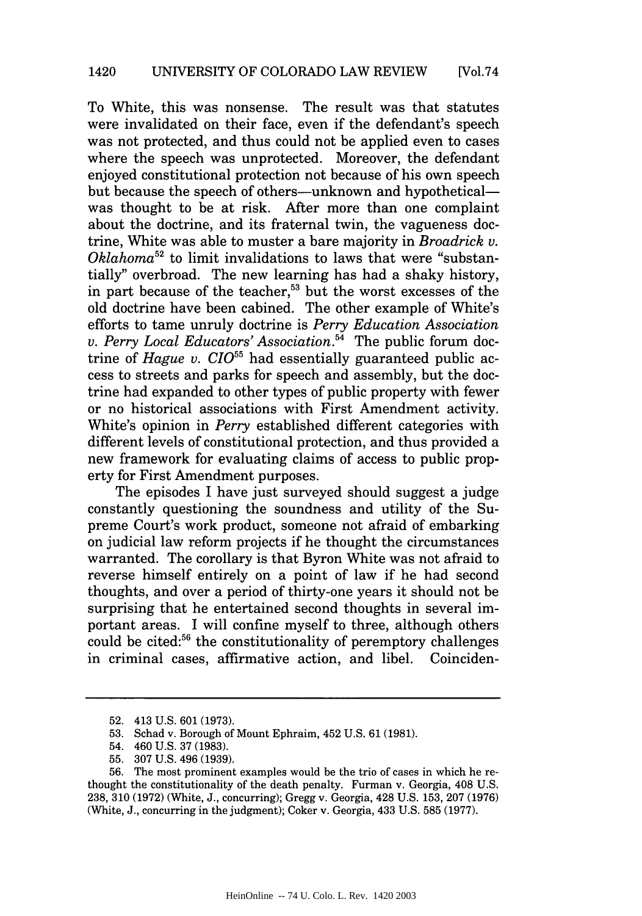To White, this was nonsense. The result was that statutes were invalidated on their face, even if the defendant's speech was not protected, and thus could not be applied even to cases where the speech was unprotected. Moreover, the defendant enjoyed constitutional protection not because of his own speech but because the speech of others-unknown and hypotheticalwas thought to be at risk. After more than one complaint about the doctrine, and its fraternal twin, the vagueness doctrine, White was able to muster a bare majority in *Broadrick v. Oklahoma52* to limit invalidations to laws that were "substantially" overbroad. The new learning has had a shaky history, in part because of the teacher, $53$  but the worst excesses of the old doctrine have been cabined. The other example of White's efforts to tame unruly doctrine is *Perry Education Association v. Perry Local Educators' Association.54* The public forum doctrine of *Hague v. CIO*<sup>55</sup> had essentially guaranteed public access to streets and parks for speech and assembly, but the doctrine had expanded to other types of public property with fewer or no historical associations with First Amendment activity. White's opinion in *Perry* established different categories with different levels of constitutional protection, and thus provided a new framework for evaluating claims of access to public property for First Amendment purposes.

The episodes I have just surveyed should suggest a judge constantly questioning the soundness and utility of the Supreme Court's work product, someone not afraid of embarking on judicial law reform projects if he thought the circumstances warranted. The corollary is that Byron White was not afraid to reverse himself entirely on a point of law if he had second thoughts, and over a period of thirty-one years it should not be surprising that he entertained second thoughts in several important areas. I will confine myself to three, although others could be cited:56 the constitutionality of peremptory challenges in criminal cases, affirmative action, and libel. Coinciden-

<sup>52. 413</sup> U.S. 601 (1973).

<sup>53.</sup> Schad v. Borough of Mount Ephraim, 452 U.S. 61 (1981).

<sup>54. 460</sup> U.S. 37 (1983).

<sup>55. 307</sup> U.S. 496 (1939).

<sup>56.</sup> The most prominent examples would be the trio of cases in which he rethought the constitutionality of the death penalty. Furman v. Georgia, 408 U.S. 238, 310 (1972) (White, J., concurring); Gregg v. Georgia, 428 U.S. 153, 207 (1976) (White, J., concurring in the judgment); Coker v. Georgia, 433 U.S. 585 (1977).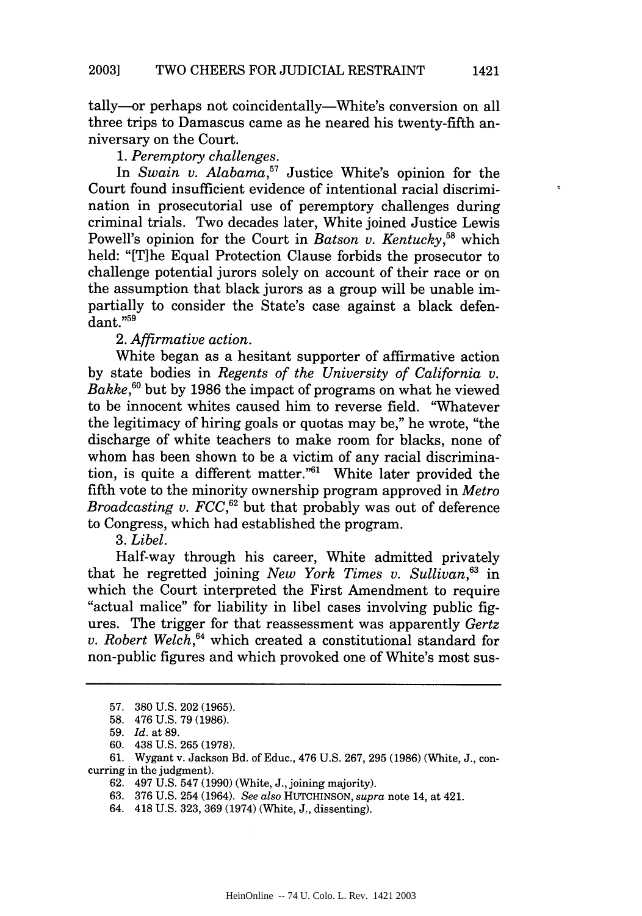tally-or perhaps not coincidentally-White's conversion on all three trips to Damascus came as he neared his twenty-fifth anniversary on the Court.

### *1. Peremptory challenges.*

In *Swain v. Alabama,57* Justice White's opinion for the Court found insufficient evidence of intentional racial discrimination in prosecutorial use of peremptory challenges during criminal trials. Two decades later, White joined Justice Lewis Powell's opinion for the Court in *Batson v. Kentucky*<sup>58</sup> which held: "[T]he Equal Protection Clause forbids the prosecutor to challenge potential jurors solely on account of their race or on the assumption that black jurors as a group will be unable impartially to consider the State's case against a black defendant."59

2. *Affirmative action.*

White began as a hesitant supporter of affirmative action by state bodies in *Regents of the University of California v. Bakke*,<sup>60</sup> but by 1986 the impact of programs on what he viewed to be innocent whites caused him to reverse field. "Whatever the legitimacy of hiring goals or quotas may be," he wrote, "the discharge of white teachers to make room for blacks, none of whom has been shown to be a victim of any racial discrimination, is quite a different matter."6' White later provided the fifth vote to the minority ownership program approved in *Metro Broadcasting v. FCC*,<sup>62</sup> but that probably was out of deference to Congress, which had established the program.

## *3. Libel.*

Half-way through his career, White admitted privately that he regretted joining *New York Times v. Sullivan*<sup>63</sup> in which the Court interpreted the First Amendment to require "actual malice" for liability in libel cases involving public figures. The trigger for that reassessment was apparently *Gertz v. Robert Welch,64* which created a constitutional standard for non-public figures and which provoked one of White's most sus $\circ$ 

<sup>57. 380</sup> U.S. 202 (1965).

<sup>58. 476</sup> U.S. 79 (1986).

<sup>59.</sup> *Id.* at 89.

<sup>60. 438</sup> U.S. 265 (1978).

<sup>61.</sup> Wygant v. Jackson Bd. of Educ., 476 U.S. 267, 295 (1986) (White, J., concurring in the judgment).

<sup>62. 497</sup> U.S. 547 (1990) (White, J., joining majority).

<sup>63. 376</sup> U.S. 254 (1964). *See also* HUTCHINSON, *supra* note 14, at 421.

<sup>64. 418</sup> U.S. 323, 369 (1974) (White, **J.,** dissenting).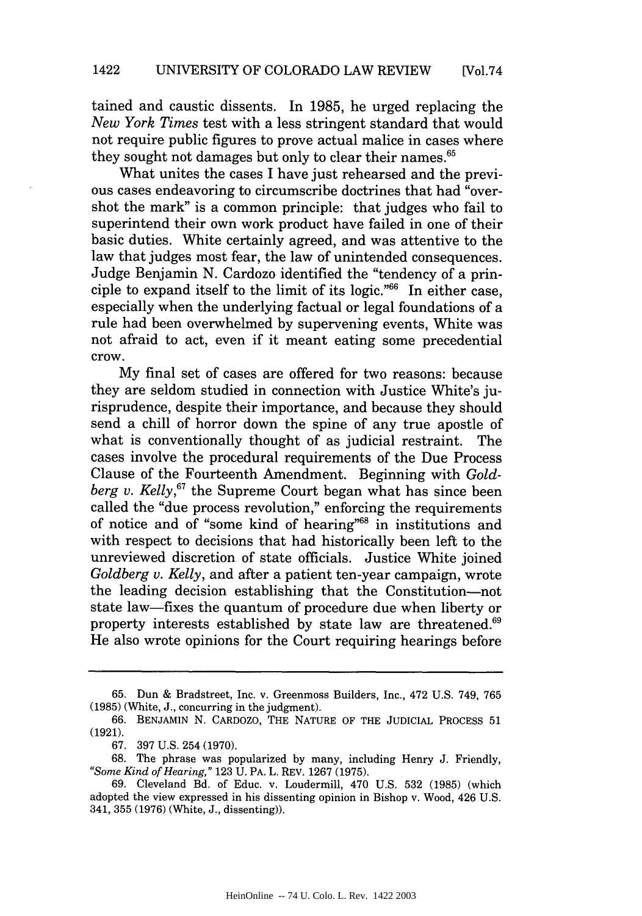tained and caustic dissents. In 1985, he urged replacing the *New York Times* test with a less stringent standard that would not require public figures to prove actual malice in cases where they sought not damages but only to clear their names.<sup>65</sup>

What unites the cases I have just rehearsed and the previous cases endeavoring to circumscribe doctrines that had "overshot the mark" is a common principle: that judges who fail to superintend their own work product have failed in one of their basic duties. White certainly agreed, and was attentive to the law that judges most fear, the law of unintended consequences. Judge Benjamin N. Cardozo identified the "tendency of a principle to expand itself to the limit of its logic." $66$  In either case, especially when the underlying factual or legal foundations of a rule had been overwhelmed by supervening events, White was not afraid to act, even if it meant eating some precedential crow.

My final set of cases are offered for two reasons: because they are seldom studied in connection with Justice White's jurisprudence, despite their importance, and because they should send a chill of horror down the spine of any true apostle of what is conventionally thought of as judicial restraint. The cases involve the procedural requirements of the Due Process Clause of the Fourteenth Amendment. Beginning with *Goldberg v. Kelly,67* the Supreme Court began what has since been called the "due process revolution," enforcing the requirements of notice and of "some kind of hearing"<sup>68</sup> in institutions and with respect to decisions that had historically been left to the unreviewed discretion of state officials. Justice White joined *Goldberg v. Kelly,* and after a patient ten-year campaign, wrote the leading decision establishing that the Constitution-not state law-fixes the quantum of procedure due when liberty or property interests established by state law are threatened.<sup>69</sup> He also wrote opinions for the Court requiring hearings before

<sup>65.</sup> Dun & Bradstreet, Inc. v. Greenmoss Builders, Inc., 472 U.S. 749, 765 (1985) (White, J., concurring in the judgment).

<sup>66.</sup> BENJAMIN N. CARDOZO, THE NATURE OF THE JUDICIAL PROCESS 51 (1921).

<sup>67. 397</sup> U.S. 254 (1970).

<sup>68.</sup> The phrase was popularized by many, including Henry J. Friendly, *"Some Kind of Hearing,"* 123 U. PA. L. REV. 1267 (1975).

<sup>69.</sup> Cleveland Bd. of Educ. v. Loudermill, 470 U.S. 532 (1985) (which adopted the view expressed in his dissenting opinion in Bishop v. Wood, 426 U.S. 341, 355 (1976) (White, J., dissenting)).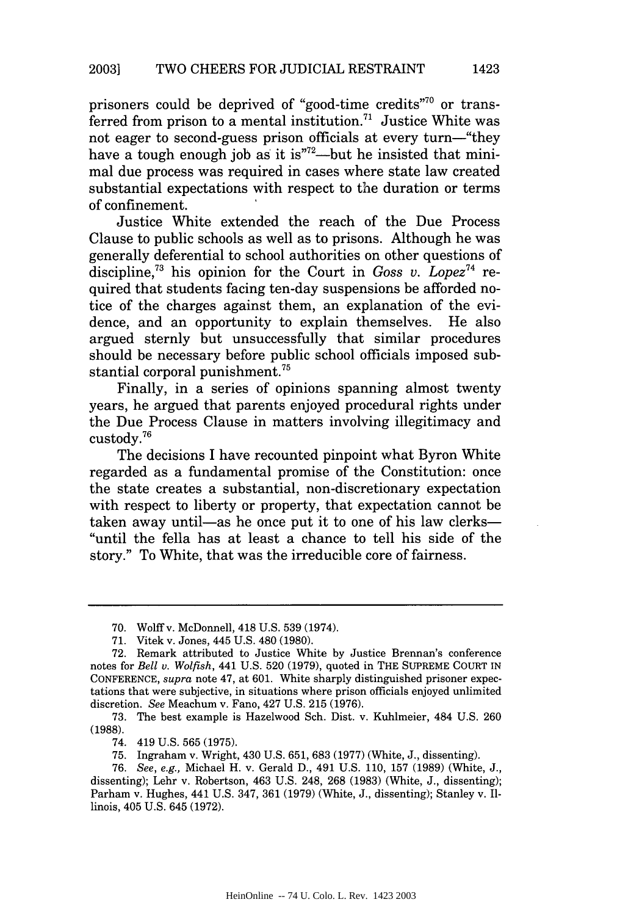prisoners could be deprived of "good-time credits"<sup>70</sup> or transferred from prison to a mental institution.<sup>71</sup> Justice White was not eager to second-guess prison officials at every turn—"they have a tough enough job as it is"<sup>72</sup>—but he insisted that minimal due process was required in cases where state law created substantial expectations with respect to the duration or terms of confinement.

Justice White extended the reach of the Due Process Clause to public schools as well as to prisons. Although he was generally deferential to school authorities on other questions of discipline,<sup>73</sup> his opinion for the Court in *Goss v. Lopez*<sup>74</sup> required that students facing ten-day suspensions be afforded notice of the charges against them, an explanation of the evidence, and an opportunity to explain themselves. He also argued sternly but unsuccessfully that similar procedures should be necessary before public school officials imposed substantial corporal punishment.<sup>75</sup>

Finally, in a series of opinions spanning almost twenty years, he argued that parents enjoyed procedural rights under the Due Process Clause in matters involving illegitimacy and custody."6

The decisions I have recounted pinpoint what Byron White regarded as a fundamental promise of the Constitution: once the state creates a substantial, non-discretionary expectation with respect to liberty or property, that expectation cannot be taken away until—as he once put it to one of his law clerks— "until the fella has at least a chance to tell his side of the story." To White, that was the irreducible core of fairness.

73. The best example is Hazelwood Sch. Dist. v. Kuhlmeier, 484 U.S. 260 (1988).

74. 419 U.S. 565 (1975).

75. Ingraham v. Wright, 430 U.S. 651, 683 (1977) (White, J., dissenting).

76. *See, e.g.,* Michael H. v. Gerald D., 491 U.S. 110, 157 (1989) (White, J., dissenting); Lehr v. Robertson, 463 U.S. 248, 268 (1983) (White, J., dissenting); Parham v. Hughes, 441 U.S. 347, 361 (1979) (White, J., dissenting); Stanley v. Illinois, 405 U.S. 645 (1972).

1423

<sup>70.</sup> Wolff v. McDonnell, 418 U.S. 539 (1974).

<sup>71.</sup> Vitek v. Jones, 445 U.S. 480 (1980).

<sup>72.</sup> Remark attributed to Justice White by Justice Brennan's conference notes for *Bell v. Wolfish,* 441 U.S. 520 (1979), quoted in THE SUPREME COURT IN CONFERENCE, *supra* note 47, at 601. White sharply distinguished prisoner expectations that were subjective, in situations where prison officials enjoyed unlimited discretion. *See* Meachum v. Fano, 427 U.S. 215 (1976).